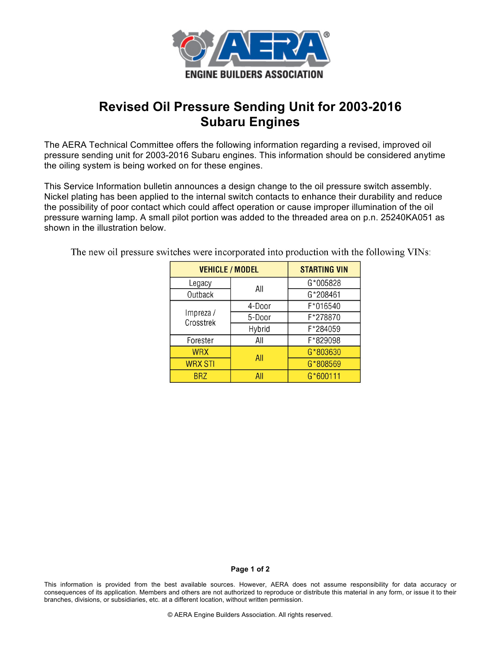

## **Revised Oil Pressure Sending Unit for 2003-2016 Subaru Engines**

The AERA Technical Committee offers the following information regarding a revised, improved oil pressure sending unit for 2003-2016 Subaru engines. This information should be considered anytime the oiling system is being worked on for these engines.

This Service Information bulletin announces a design change to the oil pressure switch assembly. Nickel plating has been applied to the internal switch contacts to enhance their durability and reduce the possibility of poor contact which could affect operation or cause improper illumination of the oil pressure warning lamp. A small pilot portion was added to the threaded area on p.n. 25240KA051 as shown in the illustration below.

The new oil pressure switches were incorporated into production with the following VINs:

| <b>VEHICLE / MODEL</b> |        | <b>STARTING VIN</b> |
|------------------------|--------|---------------------|
| Legacy                 | All    | G*005828            |
| Outback                |        | G*208461            |
| Impreza /<br>Crosstrek | 4-Door | F*016540            |
|                        | 5-Door | F*278870            |
|                        | Hybrid | F*284059            |
| Forester               | All    | F*829098            |
| <b>WRX</b>             | All    | G*803630            |
| <b>WRX STI</b>         |        | G*808569            |
| <b>BRZ</b>             | All    | G*600111            |

## **Page 1 of 2**

This information is provided from the best available sources. However, AERA does not assume responsibility for data accuracy or consequences of its application. Members and others are not authorized to reproduce or distribute this material in any form, or issue it to their branches, divisions, or subsidiaries, etc. at a different location, without written permission.